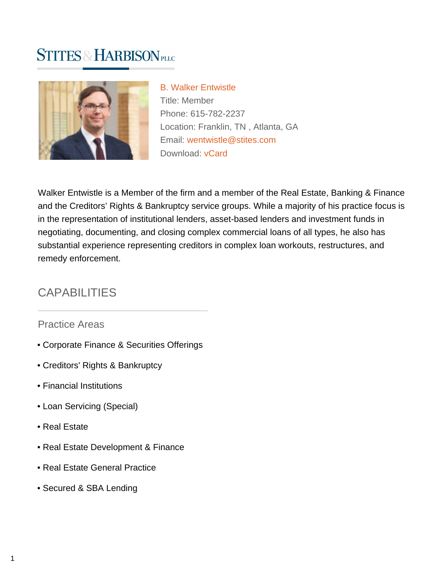# **STITES & HARBISON PLLC**



[B. Walker Entwistle](https://www.stites.com/attorneys/b-walker-entwistle) Title: Member Phone: 615-782-2237 Location: Franklin, TN , Atlanta, GA Email: [wentwistle@stites.com](mailto:wentwistle@stites.com) Download: [vCard](https://www.stites.com/vcard/b-walker-entwistle)

Walker Entwistle is a Member of the firm and a member of the Real Estate, Banking & Finance and the Creditors' Rights & Bankruptcy service groups. While a majority of his practice focus is in the representation of institutional lenders, asset-based lenders and investment funds in negotiating, documenting, and closing complex commercial loans of all types, he also has substantial experience representing creditors in complex loan workouts, restructures, and remedy enforcement.

# CAPABILITIES

#### Practice Areas

- Corporate Finance & Securities Offerings
- Creditors' Rights & Bankruptcy
- Financial Institutions
- Loan Servicing (Special)
- Real Estate
- Real Estate Development & Finance
- Real Estate General Practice
- Secured & SBA Lending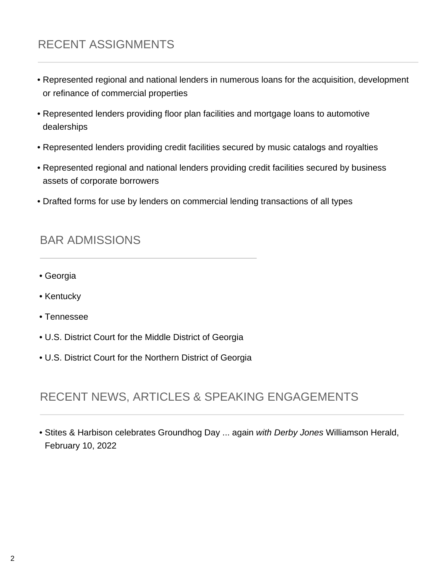# RECENT ASSIGNMENTS

- Represented regional and national lenders in numerous loans for the acquisition, development or refinance of commercial properties
- Represented lenders providing floor plan facilities and mortgage loans to automotive dealerships
- Represented lenders providing credit facilities secured by music catalogs and royalties
- Represented regional and national lenders providing credit facilities secured by business assets of corporate borrowers
- Drafted forms for use by lenders on commercial lending transactions of all types

#### BAR ADMISSIONS

- Georgia
- Kentucky
- Tennessee
- U.S. District Court for the Middle District of Georgia
- U.S. District Court for the Northern District of Georgia

## RECENT NEWS, ARTICLES & SPEAKING ENGAGEMENTS

• Stites & Harbison celebrates Groundhog Day ... again with Derby Jones Williamson Herald, February 10, 2022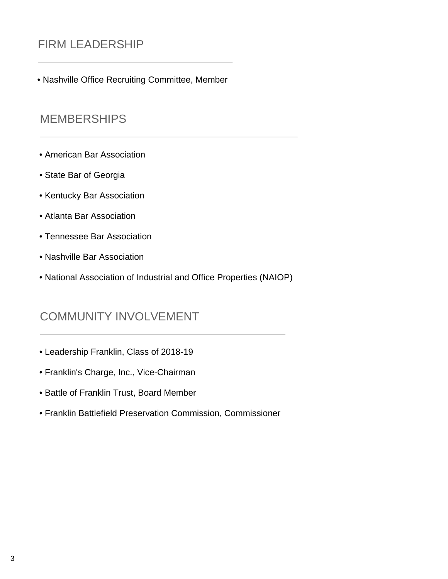## FIRM LEADERSHIP

• Nashville Office Recruiting Committee, Member

#### **MEMBERSHIPS**

- American Bar Association
- State Bar of Georgia
- Kentucky Bar Association
- Atlanta Bar Association
- Tennessee Bar Association
- Nashville Bar Association
- National Association of Industrial and Office Properties (NAIOP)

#### COMMUNITY INVOLVEMENT

- Leadership Franklin, Class of 2018-19
- Franklin's Charge, Inc., Vice-Chairman
- Battle of Franklin Trust, Board Member
- Franklin Battlefield Preservation Commission, Commissioner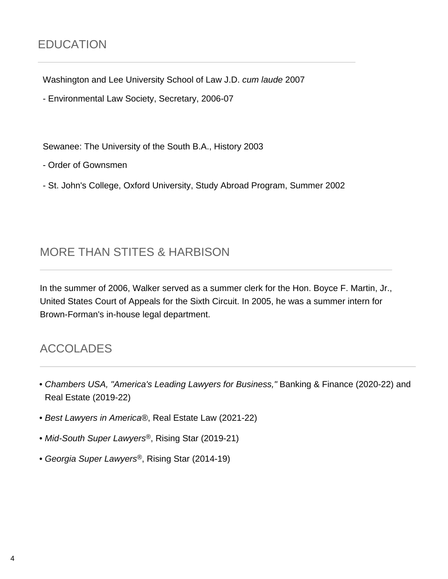Washington and Lee University School of Law J.D. cum laude 2007

- Environmental Law Society, Secretary, 2006-07

Sewanee: The University of the South B.A., History 2003

- Order of Gownsmen

- St. John's College, Oxford University, Study Abroad Program, Summer 2002

#### MORE THAN STITES & HARBISON

In the summer of 2006, Walker served as a summer clerk for the Hon. Boyce F. Martin, Jr., United States Court of Appeals for the Sixth Circuit. In 2005, he was a summer intern for Brown-Forman's in-house legal department.

## ACCOLADES

- Chambers USA, "America's Leading Lawyers for Business," Banking & Finance (2020-22) and Real Estate (2019-22)
- Best Lawyers in America®, Real Estate Law (2021-22)
- Mid-South Super Lawyers<sup>®</sup>, Rising Star (2019-21)
- Georgia Super Lawyers®, Rising Star (2014-19)